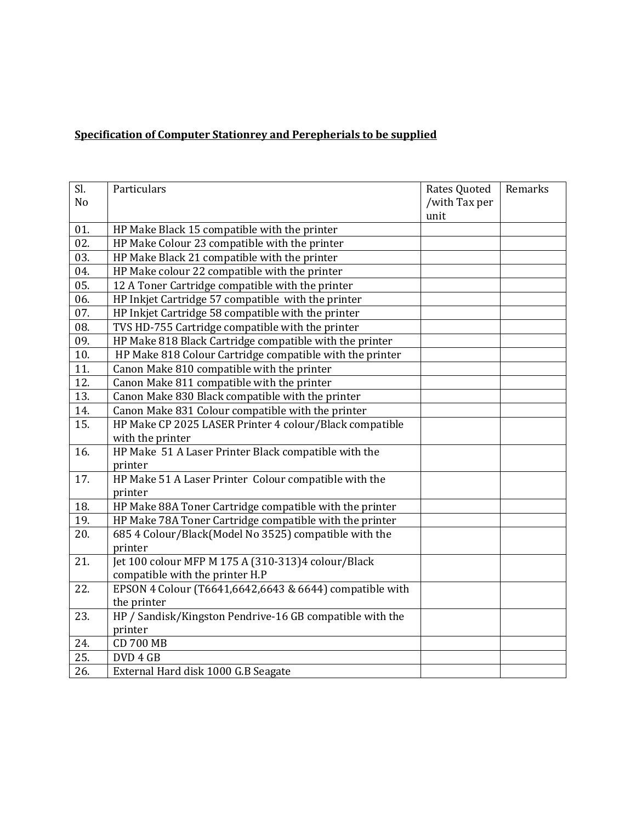## **Specification of Computer Stationrey and Perepherials to be supplied**

| Sl. | Particulars                                              | Rates Quoted  | Remarks |
|-----|----------------------------------------------------------|---------------|---------|
| No  |                                                          | /with Tax per |         |
| 01. |                                                          | unit          |         |
|     | HP Make Black 15 compatible with the printer             |               |         |
| 02. | HP Make Colour 23 compatible with the printer            |               |         |
| 03. | HP Make Black 21 compatible with the printer             |               |         |
| 04. | HP Make colour 22 compatible with the printer            |               |         |
| 05. | 12 A Toner Cartridge compatible with the printer         |               |         |
| 06. | HP Inkjet Cartridge 57 compatible with the printer       |               |         |
| 07. | HP Inkjet Cartridge 58 compatible with the printer       |               |         |
| 08. | TVS HD-755 Cartridge compatible with the printer         |               |         |
| 09. | HP Make 818 Black Cartridge compatible with the printer  |               |         |
| 10. | HP Make 818 Colour Cartridge compatible with the printer |               |         |
| 11. | Canon Make 810 compatible with the printer               |               |         |
| 12. | Canon Make 811 compatible with the printer               |               |         |
| 13. | Canon Make 830 Black compatible with the printer         |               |         |
| 14. | Canon Make 831 Colour compatible with the printer        |               |         |
| 15. | HP Make CP 2025 LASER Printer 4 colour/Black compatible  |               |         |
|     | with the printer                                         |               |         |
| 16. | HP Make 51 A Laser Printer Black compatible with the     |               |         |
|     | printer                                                  |               |         |
| 17. | HP Make 51 A Laser Printer Colour compatible with the    |               |         |
|     | printer                                                  |               |         |
| 18. | HP Make 88A Toner Cartridge compatible with the printer  |               |         |
| 19. | HP Make 78A Toner Cartridge compatible with the printer  |               |         |
| 20. | 685 4 Colour/Black(Model No 3525) compatible with the    |               |         |
|     | printer                                                  |               |         |
| 21. | Jet 100 colour MFP M 175 A (310-313)4 colour/Black       |               |         |
|     | compatible with the printer H.P                          |               |         |
| 22. | EPSON 4 Colour (T6641,6642,6643 & 6644) compatible with  |               |         |
|     | the printer                                              |               |         |
| 23. | HP / Sandisk/Kingston Pendrive-16 GB compatible with the |               |         |
|     | printer                                                  |               |         |
| 24. | <b>CD 700 MB</b>                                         |               |         |
| 25. | DVD 4 GB                                                 |               |         |
| 26. | External Hard disk 1000 G.B Seagate                      |               |         |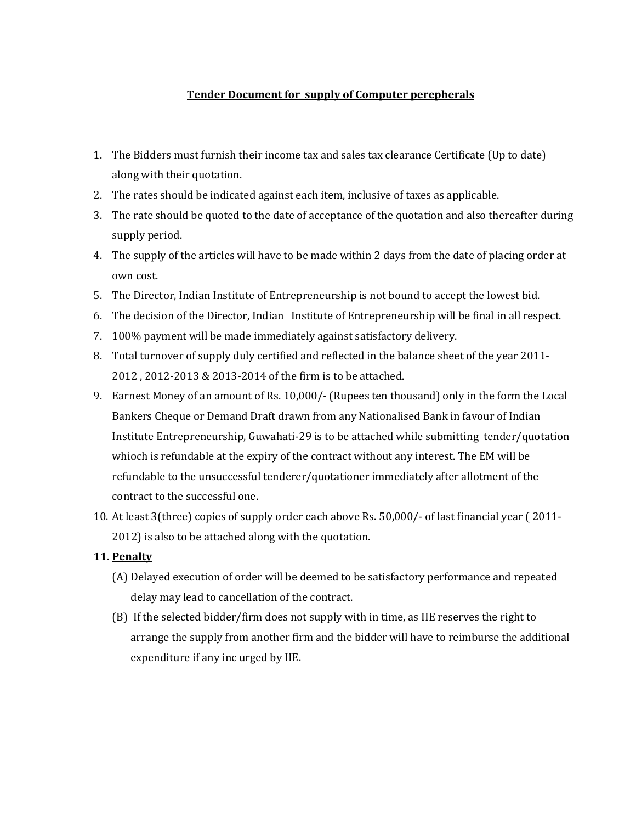## **Tender Document for supply of Computer perepherals**

- 1. The Bidders must furnish their income tax and sales tax clearance Certificate (Up to date) along with their quotation.
- 2. The rates should be indicated against each item, inclusive of taxes as applicable.
- 3. The rate should be quoted to the date of acceptance of the quotation and also thereafter during supply period.
- 4. The supply of the articles will have to be made within 2 days from the date of placing order at own cost.
- 5. The Director, Indian Institute of Entrepreneurship is not bound to accept the lowest bid.
- 6. The decision of the Director, Indian Institute of Entrepreneurship will be final in all respect.
- 7. 100% payment will be made immediately against satisfactory delivery.
- 8. Total turnover of supply duly certified and reflected in the balance sheet of the year 2011- 2012 , 2012-2013 & 2013-2014 of the firm is to be attached.
- 9. Earnest Money of an amount of Rs. 10,000/- (Rupees ten thousand) only in the form the Local Bankers Cheque or Demand Draft drawn from any Nationalised Bank in favour of Indian Institute Entrepreneurship, Guwahati-29 is to be attached while submitting tender/quotation whioch is refundable at the expiry of the contract without any interest. The EM will be refundable to the unsuccessful tenderer/quotationer immediately after allotment of the contract to the successful one.
- 10. At least 3(three) copies of supply order each above Rs. 50,000/- of last financial year ( 2011- 2012) is also to be attached along with the quotation.

## **11. Penalty**

- (A) Delayed execution of order will be deemed to be satisfactory performance and repeated delay may lead to cancellation of the contract.
- (B) If the selected bidder/firm does not supply with in time, as IIE reserves the right to arrange the supply from another firm and the bidder will have to reimburse the additional expenditure if any inc urged by IIE.